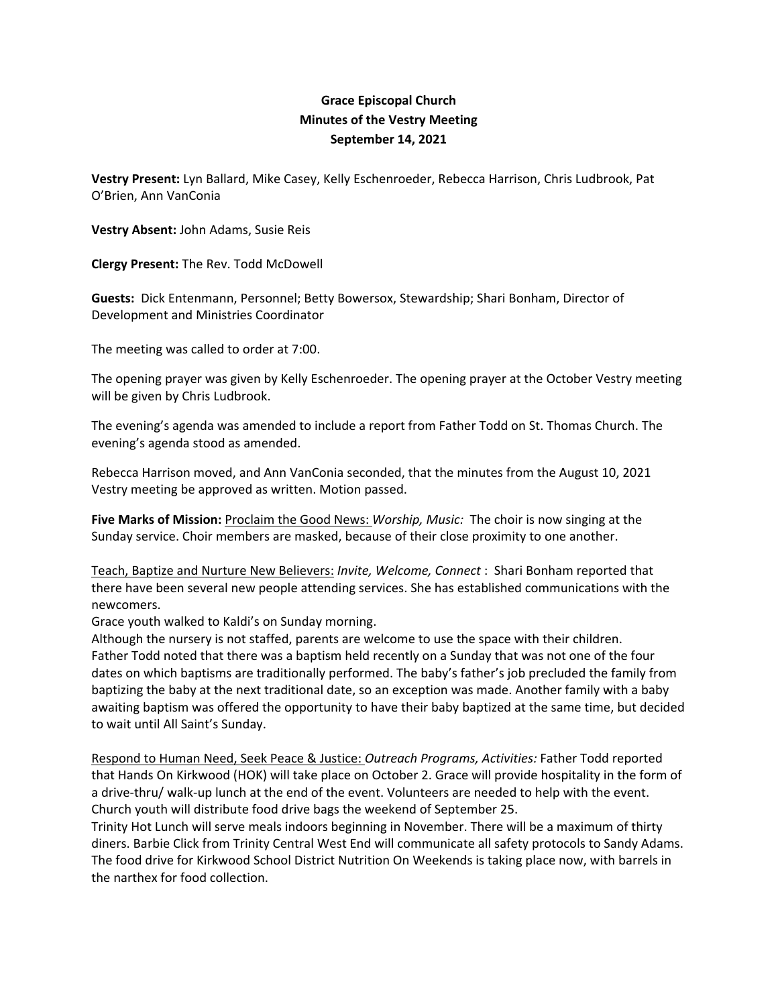## **Grace Episcopal Church Minutes of the Vestry Meeting September 14, 2021**

**Vestry Present:** Lyn Ballard, Mike Casey, Kelly Eschenroeder, Rebecca Harrison, Chris Ludbrook, Pat O'Brien, Ann VanConia

**Vestry Absent:** John Adams, Susie Reis

**Clergy Present:** The Rev. Todd McDowell

**Guests:** Dick Entenmann, Personnel; Betty Bowersox, Stewardship; Shari Bonham, Director of Development and Ministries Coordinator

The meeting was called to order at 7:00.

The opening prayer was given by Kelly Eschenroeder. The opening prayer at the October Vestry meeting will be given by Chris Ludbrook.

The evening's agenda was amended to include a report from Father Todd on St. Thomas Church. The evening's agenda stood as amended.

Rebecca Harrison moved, and Ann VanConia seconded, that the minutes from the August 10, 2021 Vestry meeting be approved as written. Motion passed.

**Five Marks of Mission:** Proclaim the Good News: *Worship, Music:* The choir is now singing at the Sunday service. Choir members are masked, because of their close proximity to one another.

Teach, Baptize and Nurture New Believers: *Invite, Welcome, Connect* : Shari Bonham reported that there have been several new people attending services. She has established communications with the newcomers.

Grace youth walked to Kaldi's on Sunday morning.

Although the nursery is not staffed, parents are welcome to use the space with their children. Father Todd noted that there was a baptism held recently on a Sunday that was not one of the four dates on which baptisms are traditionally performed. The baby's father's job precluded the family from baptizing the baby at the next traditional date, so an exception was made. Another family with a baby awaiting baptism was offered the opportunity to have their baby baptized at the same time, but decided to wait until All Saint's Sunday.

Respond to Human Need, Seek Peace & Justice: *Outreach Programs, Activities:* Father Todd reported that Hands On Kirkwood (HOK) will take place on October 2. Grace will provide hospitality in the form of a drive-thru/ walk-up lunch at the end of the event. Volunteers are needed to help with the event. Church youth will distribute food drive bags the weekend of September 25.

Trinity Hot Lunch will serve meals indoors beginning in November. There will be a maximum of thirty diners. Barbie Click from Trinity Central West End will communicate all safety protocols to Sandy Adams. The food drive for Kirkwood School District Nutrition On Weekends is taking place now, with barrels in the narthex for food collection.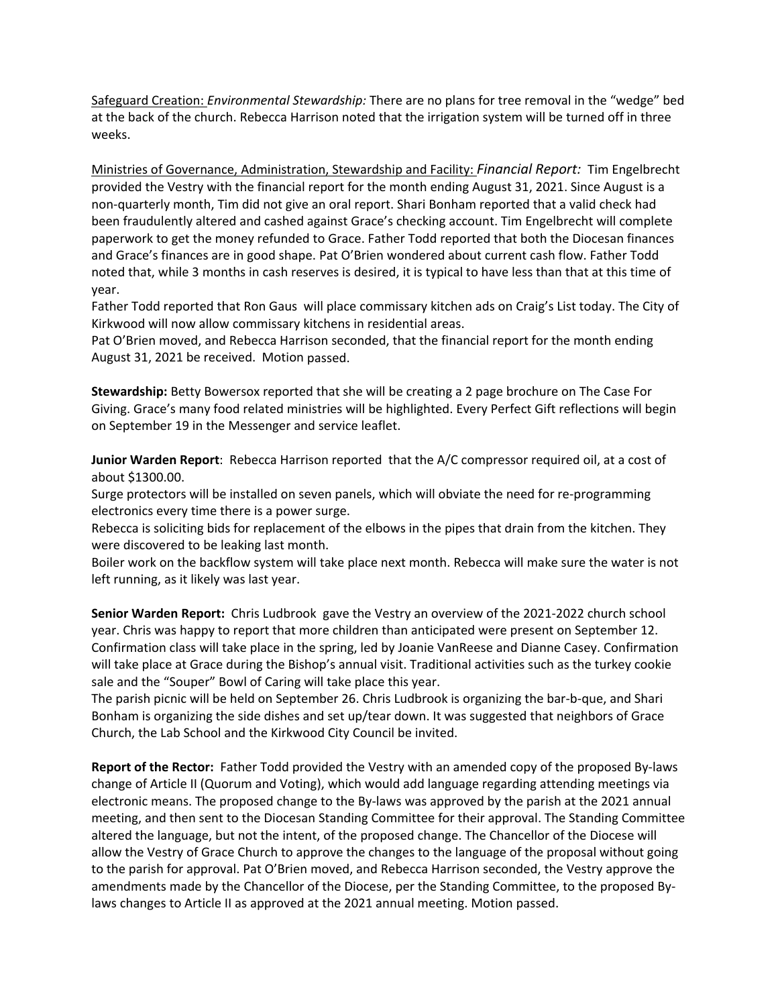Safeguard Creation: *Environmental Stewardship:* There are no plans for tree removal in the "wedge" bed at the back of the church. Rebecca Harrison noted that the irrigation system will be turned off in three weeks.

Ministries of Governance, Administration, Stewardship and Facility: *Financial Report:* Tim Engelbrecht provided the Vestry with the financial report for the month ending August 31, 2021. Since August is a non‐quarterly month, Tim did not give an oral report. Shari Bonham reported that a valid check had been fraudulently altered and cashed against Grace's checking account. Tim Engelbrecht will complete paperwork to get the money refunded to Grace. Father Todd reported that both the Diocesan finances and Grace's finances are in good shape. Pat O'Brien wondered about current cash flow. Father Todd noted that, while 3 months in cash reserves is desired, it is typical to have less than that at this time of year.

Father Todd reported that Ron Gaus will place commissary kitchen ads on Craig's List today. The City of Kirkwood will now allow commissary kitchens in residential areas.

Pat O'Brien moved, and Rebecca Harrison seconded, that the financial report for the month ending August 31, 2021 be received. Motion passed.

**Stewardship:** Betty Bowersox reported that she will be creating a 2 page brochure on The Case For Giving. Grace's many food related ministries will be highlighted. Every Perfect Gift reflections will begin on September 19 in the Messenger and service leaflet.

**Junior Warden Report**: Rebecca Harrison reported that the A/C compressor required oil, at a cost of about \$1300.00.

Surge protectors will be installed on seven panels, which will obviate the need for re‐programming electronics every time there is a power surge.

Rebecca is soliciting bids for replacement of the elbows in the pipes that drain from the kitchen. They were discovered to be leaking last month.

Boiler work on the backflow system will take place next month. Rebecca will make sure the water is not left running, as it likely was last year.

**Senior Warden Report:** Chris Ludbrook gave the Vestry an overview of the 2021‐2022 church school year. Chris was happy to report that more children than anticipated were present on September 12. Confirmation class will take place in the spring, led by Joanie VanReese and Dianne Casey. Confirmation will take place at Grace during the Bishop's annual visit. Traditional activities such as the turkey cookie sale and the "Souper" Bowl of Caring will take place this year.

The parish picnic will be held on September 26. Chris Ludbrook is organizing the bar‐b‐que, and Shari Bonham is organizing the side dishes and set up/tear down. It was suggested that neighbors of Grace Church, the Lab School and the Kirkwood City Council be invited.

**Report of the Rector:** Father Todd provided the Vestry with an amended copy of the proposed By‐laws change of Article II (Quorum and Voting), which would add language regarding attending meetings via electronic means. The proposed change to the By‐laws was approved by the parish at the 2021 annual meeting, and then sent to the Diocesan Standing Committee for their approval. The Standing Committee altered the language, but not the intent, of the proposed change. The Chancellor of the Diocese will allow the Vestry of Grace Church to approve the changes to the language of the proposal without going to the parish for approval. Pat O'Brien moved, and Rebecca Harrison seconded, the Vestry approve the amendments made by the Chancellor of the Diocese, per the Standing Committee, to the proposed By‐ laws changes to Article II as approved at the 2021 annual meeting. Motion passed.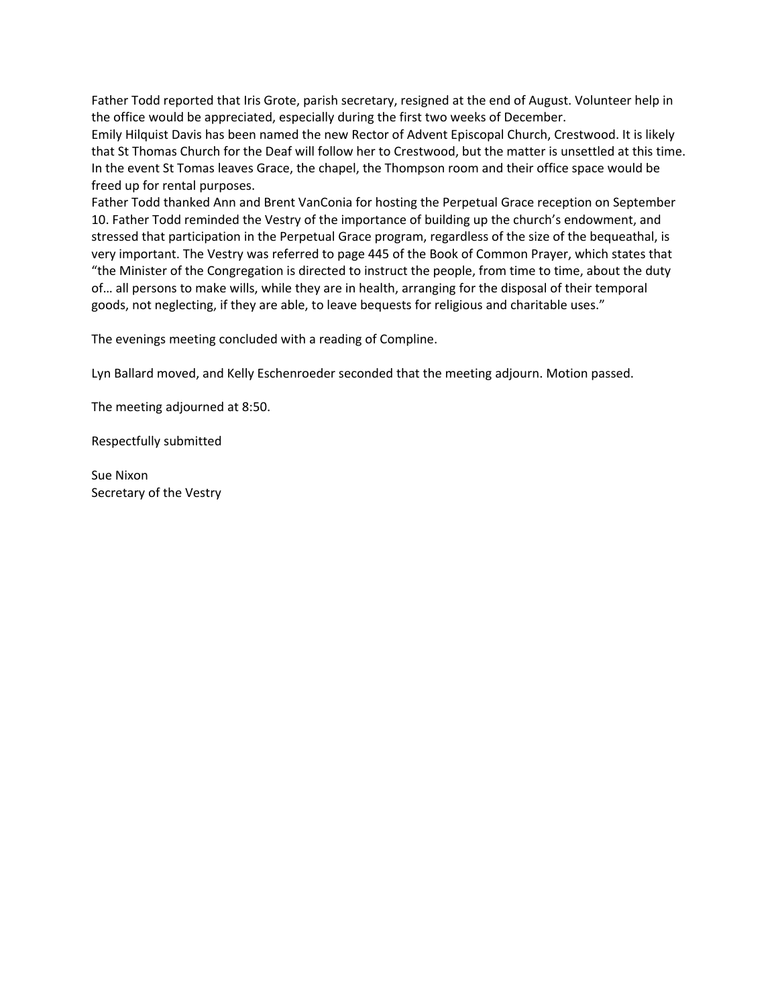Father Todd reported that Iris Grote, parish secretary, resigned at the end of August. Volunteer help in the office would be appreciated, especially during the first two weeks of December.

Emily Hilquist Davis has been named the new Rector of Advent Episcopal Church, Crestwood. It is likely that St Thomas Church for the Deaf will follow her to Crestwood, but the matter is unsettled at this time. In the event St Tomas leaves Grace, the chapel, the Thompson room and their office space would be freed up for rental purposes.

Father Todd thanked Ann and Brent VanConia for hosting the Perpetual Grace reception on September 10. Father Todd reminded the Vestry of the importance of building up the church's endowment, and stressed that participation in the Perpetual Grace program, regardless of the size of the bequeathal, is very important. The Vestry was referred to page 445 of the Book of Common Prayer, which states that "the Minister of the Congregation is directed to instruct the people, from time to time, about the duty of… all persons to make wills, while they are in health, arranging for the disposal of their temporal goods, not neglecting, if they are able, to leave bequests for religious and charitable uses."

The evenings meeting concluded with a reading of Compline.

Lyn Ballard moved, and Kelly Eschenroeder seconded that the meeting adjourn. Motion passed.

The meeting adjourned at 8:50.

Respectfully submitted

Sue Nixon Secretary of the Vestry